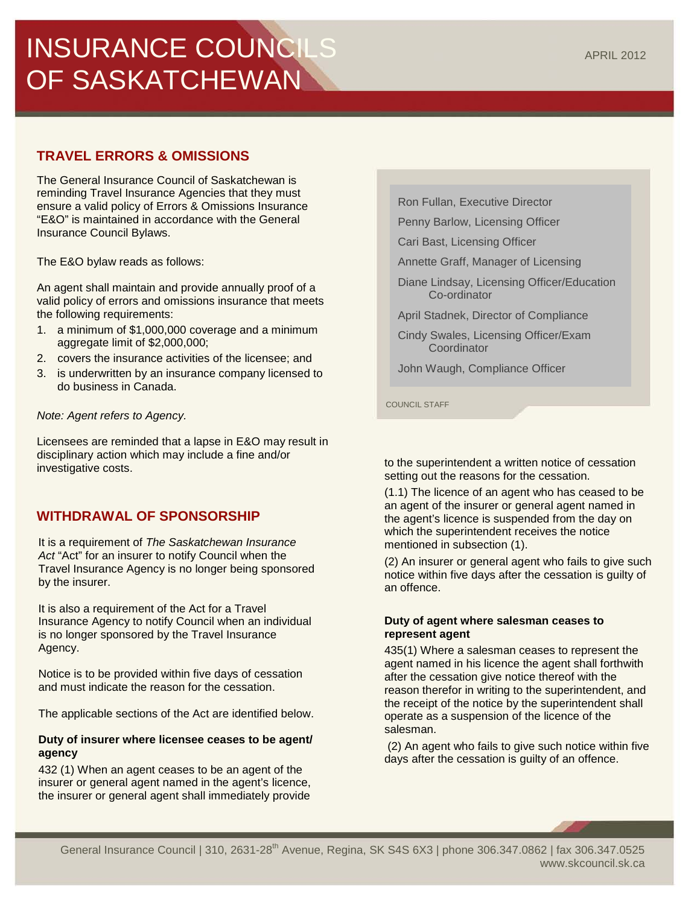#### General Insurance Council | 310, 2631-28<sup>th</sup> Avenue, Regina, SK S4S 6X3 | phone 306.347.0862 | fax 306.347.0525 www.skcouncil.sk.ca

# INSURANCE COUNCILS OF SASKATCHEWAN

# **TRAVEL ERRORS & OMISSIONS**

The General Insurance Council of Saskatchewan is reminding Travel Insurance Agencies that they must ensure a valid policy of Errors & Omissions Insurance "E&O" is maintained in accordance with the General Insurance Council Bylaws.

The E&O bylaw reads as follows:

An agent shall maintain and provide annually proof of a valid policy of errors and omissions insurance that meets the following requirements:

- 1. a minimum of \$1,000,000 coverage and a minimum aggregate limit of \$2,000,000;
- 2. covers the insurance activities of the licensee; and
- 3. is underwritten by an insurance company licensed to do business in Canada.

# *Note: Agent refers to Agency.*

Licensees are reminded that a lapse in E&O may result in disciplinary action which may include a fine and/or investigative costs.

# **WITHDRAWAL OF SPONSORSHIP**

It is a requirement of *The Saskatchewan Insurance Act* "Act" for an insurer to notify Council when the Travel Insurance Agency is no longer being sponsored by the insurer.

It is also a requirement of the Act for a Travel Insurance Agency to notify Council when an individual is no longer sponsored by the Travel Insurance Agency.

Notice is to be provided within five days of cessation and must indicate the reason for the cessation.

The applicable sections of the Act are identified below.

# **Duty of insurer where licensee ceases to be agent/ agency**

432 (1) When an agent ceases to be an agent of the insurer or general agent named in the agent's licence, the insurer or general agent shall immediately provide Ron Fullan, Executive Director

Penny Barlow, Licensing Officer

Cari Bast, Licensing Officer

Annette Graff, Manager of Licensing

Diane Lindsay, Licensing Officer/Education Co-ordinator

April Stadnek, Director of Compliance

Cindy Swales, Licensing Officer/Exam **Coordinator** 

John Waugh, Compliance Officer

COUNCIL STAFF

to the superintendent a written notice of cessation setting out the reasons for the cessation.

(1.1) The licence of an agent who has ceased to be an agent of the insurer or general agent named in the agent's licence is suspended from the day on which the superintendent receives the notice mentioned in subsection (1).

(2) An insurer or general agent who fails to give such notice within five days after the cessation is guilty of an offence.

#### **Duty of agent where salesman ceases to represent agent**

435(1) Where a salesman ceases to represent the agent named in his licence the agent shall forthwith after the cessation give notice thereof with the reason therefor in writing to the superintendent, and the receipt of the notice by the superintendent shall operate as a suspension of the licence of the salesman.

(2) An agent who fails to give such notice within five days after the cessation is guilty of an offence.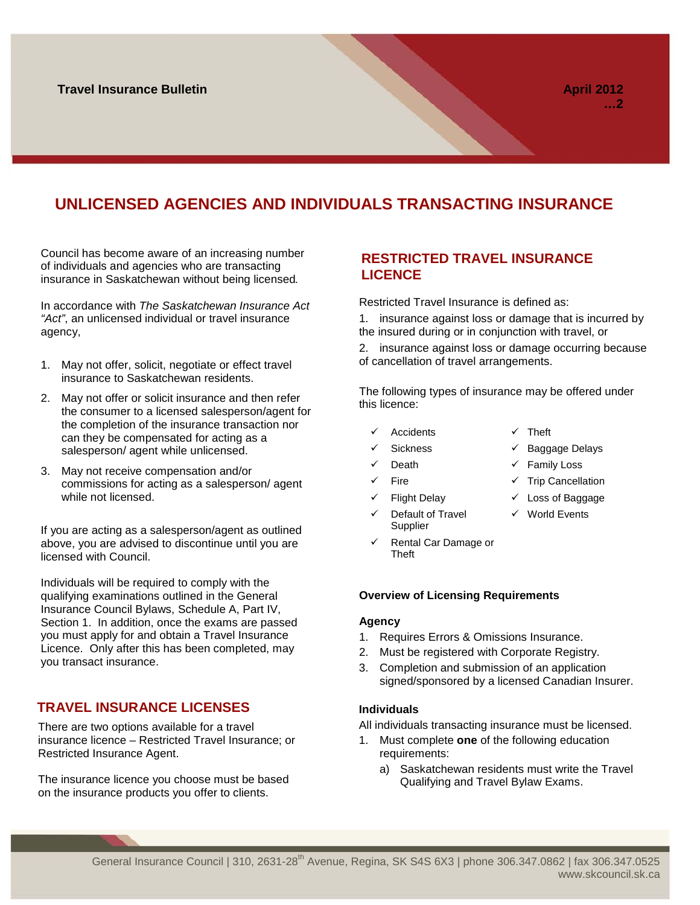# **UNLICENSED AGENCIES AND INDIVIDUALS TRANSACTING INSURANCE**

Council has become aware of an increasing number of individuals and agencies who are transacting insurance in Saskatchewan without being licensed*.*

In accordance with *The Saskatchewan Insurance Act "Act"*, an unlicensed individual or travel insurance agency,

- 1. May not offer, solicit, negotiate or effect travel insurance to Saskatchewan residents.
- 2. May not offer or solicit insurance and then refer the consumer to a licensed salesperson/agent for the completion of the insurance transaction nor can they be compensated for acting as a salesperson/ agent while unlicensed.
- 3. May not receive compensation and/or commissions for acting as a salesperson/ agent while not licensed.

If you are acting as a salesperson/agent as outlined above, you are advised to discontinue until you are licensed with Council.

Individuals will be required to comply with the qualifying examinations outlined in the General Insurance Council Bylaws, Schedule A, Part IV, Section 1. In addition, once the exams are passed you must apply for and obtain a Travel Insurance Licence. Only after this has been completed, may you transact insurance.

# **TRAVEL INSURANCE LICENSES**

There are two options available for a travel insurance licence – Restricted Travel Insurance; or Restricted Insurance Agent.

The insurance licence you choose must be based on the insurance products you offer to clients.

## **RESTRICTED TRAVEL INSURANCE LICENCE**

Restricted Travel Insurance is defined as:

1. insurance against loss or damage that is incurred by the insured during or in conjunction with travel, or

2. insurance against loss or damage occurring because of cancellation of travel arrangements.

The following types of insurance may be offered under this licence:

- Accidents  $\checkmark$  Theft
	-
	- Sickness **Sickness Baggage Delays**

World Events

- - Death  $\checkmark$  Family Loss
- $\checkmark$  Fire  $\checkmark$  Trip Cancellation
- Flight Delay  $\checkmark$  Loss of Baggage
- Default of Travel Supplier
- Rental Car Damage or Theft

#### **Overview of Licensing Requirements**

#### **Agency**

- 1. Requires Errors & Omissions Insurance.
- 2. Must be registered with Corporate Registry.
- 3. Completion and submission of an application signed/sponsored by a licensed Canadian Insurer.

#### **Individuals**

All individuals transacting insurance must be licensed.

- 1. Must complete **one** of the following education requirements:
	- a) Saskatchewan residents must write the Travel Qualifying and Travel Bylaw Exams.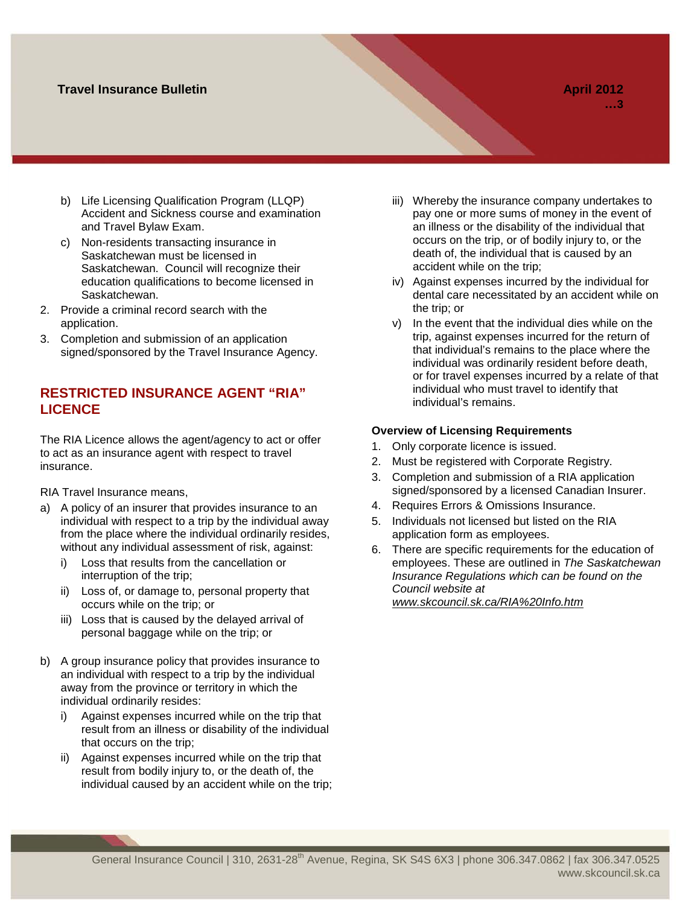## **Travel Insurance Bulletin April 2012**

- b) Life Licensing Qualification Program (LLQP) Accident and Sickness course and examination and Travel Bylaw Exam.
- c) Non-residents transacting insurance in Saskatchewan must be licensed in Saskatchewan. Council will recognize their education qualifications to become licensed in Saskatchewan.
- 2. Provide a criminal record search with the application.
- 3. Completion and submission of an application signed/sponsored by the Travel Insurance Agency.

# **RESTRICTED INSURANCE AGENT "RIA" LICENCE**

The RIA Licence allows the agent/agency to act or offer to act as an insurance agent with respect to travel insurance.

RIA Travel Insurance means,

- a) A policy of an insurer that provides insurance to an individual with respect to a trip by the individual away from the place where the individual ordinarily resides, without any individual assessment of risk, against:
	- i) Loss that results from the cancellation or interruption of the trip;
	- ii) Loss of, or damage to, personal property that occurs while on the trip; or
	- iii) Loss that is caused by the delayed arrival of personal baggage while on the trip; or
- b) A group insurance policy that provides insurance to an individual with respect to a trip by the individual away from the province or territory in which the individual ordinarily resides:
	- i) Against expenses incurred while on the trip that result from an illness or disability of the individual that occurs on the trip;
	- ii) Against expenses incurred while on the trip that result from bodily injury to, or the death of, the individual caused by an accident while on the trip;
- iii) Whereby the insurance company undertakes to pay one or more sums of money in the event of an illness or the disability of the individual that occurs on the trip, or of bodily injury to, or the death of, the individual that is caused by an accident while on the trip;
- iv) Against expenses incurred by the individual for dental care necessitated by an accident while on the trip; or
- v) In the event that the individual dies while on the trip, against expenses incurred for the return of that individual's remains to the place where the individual was ordinarily resident before death, or for travel expenses incurred by a relate of that individual who must travel to identify that individual's remains.

#### **Overview of Licensing Requirements**

- 1. Only corporate licence is issued.
- 2. Must be registered with Corporate Registry.
- 3. Completion and submission of a RIA application signed/sponsored by a licensed Canadian Insurer.
- 4. Requires Errors & Omissions Insurance.
- 5. Individuals not licensed but listed on the RIA application form as employees.
- 6. There are specific requirements for the education of employees. These are outlined in *The Saskatchewan Insurance Regulations which can be found on the Council website at [www.skcouncil.sk.ca/RIA%20Info.htm](http://www.skcouncil.sk.ca/RIA%20Info.htm)*

General Insurance Council | 310, 2631-28<sup>th</sup> Avenue, Regina, SK S4S 6X3 | phone 306.347.0862 | fax 306.347.0525 www.skcouncil.sk.ca